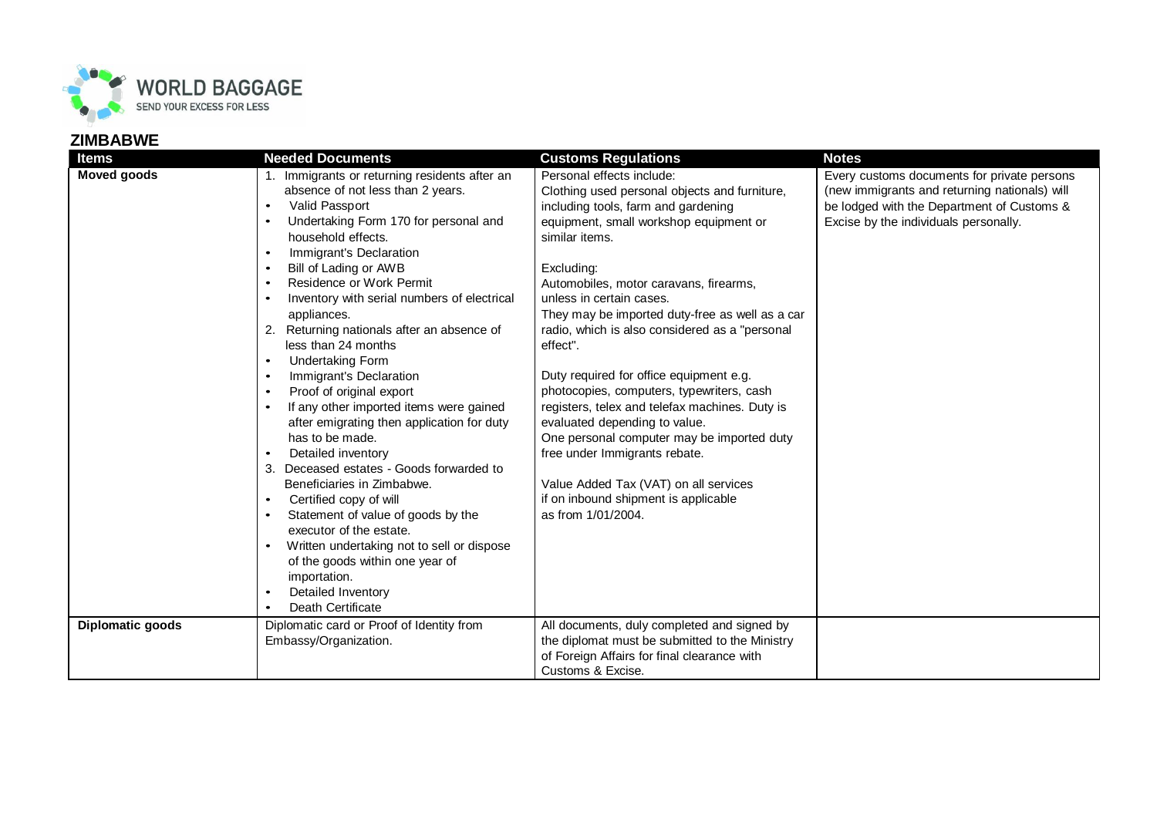

## **ZIMBABWE**

| <b>Items</b>       | <b>Needed Documents</b>                                                                                                                                                                                                                                                                                                                                                                                                                                                                                                                                                                                                                                                                                                                                                                                                                                                                                                                               | <b>Customs Regulations</b>                                                                                                                                                                                                                                                                                                                                                                                                                                                                                                                                                                                                                                                                                                                          | <b>Notes</b>                                                                                                                                                                        |
|--------------------|-------------------------------------------------------------------------------------------------------------------------------------------------------------------------------------------------------------------------------------------------------------------------------------------------------------------------------------------------------------------------------------------------------------------------------------------------------------------------------------------------------------------------------------------------------------------------------------------------------------------------------------------------------------------------------------------------------------------------------------------------------------------------------------------------------------------------------------------------------------------------------------------------------------------------------------------------------|-----------------------------------------------------------------------------------------------------------------------------------------------------------------------------------------------------------------------------------------------------------------------------------------------------------------------------------------------------------------------------------------------------------------------------------------------------------------------------------------------------------------------------------------------------------------------------------------------------------------------------------------------------------------------------------------------------------------------------------------------------|-------------------------------------------------------------------------------------------------------------------------------------------------------------------------------------|
| <b>Moved goods</b> | 1. Immigrants or returning residents after an<br>absence of not less than 2 years.<br>Valid Passport<br>$\bullet$<br>Undertaking Form 170 for personal and<br>household effects.<br>Immigrant's Declaration<br>$\bullet$<br>Bill of Lading or AWB<br>Residence or Work Permit<br>$\bullet$<br>Inventory with serial numbers of electrical<br>appliances.<br>Returning nationals after an absence of<br>less than 24 months<br><b>Undertaking Form</b><br>$\bullet$<br>Immigrant's Declaration<br>$\bullet$<br>Proof of original export<br>$\bullet$<br>If any other imported items were gained<br>after emigrating then application for duty<br>has to be made.<br>Detailed inventory<br>Deceased estates - Goods forwarded to<br>Beneficiaries in Zimbabwe.<br>Certified copy of will<br>$\bullet$<br>Statement of value of goods by the<br>executor of the estate.<br>Written undertaking not to sell or dispose<br>of the goods within one year of | Personal effects include:<br>Clothing used personal objects and furniture,<br>including tools, farm and gardening<br>equipment, small workshop equipment or<br>similar items.<br>Excluding:<br>Automobiles, motor caravans, firearms,<br>unless in certain cases.<br>They may be imported duty-free as well as a car<br>radio, which is also considered as a "personal<br>effect".<br>Duty required for office equipment e.g.<br>photocopies, computers, typewriters, cash<br>registers, telex and telefax machines. Duty is<br>evaluated depending to value.<br>One personal computer may be imported duty<br>free under Immigrants rebate.<br>Value Added Tax (VAT) on all services<br>if on inbound shipment is applicable<br>as from 1/01/2004. | Every customs documents for private persons<br>(new immigrants and returning nationals) will<br>be lodged with the Department of Customs &<br>Excise by the individuals personally. |
|                    | importation.<br>Detailed Inventory<br>$\bullet$                                                                                                                                                                                                                                                                                                                                                                                                                                                                                                                                                                                                                                                                                                                                                                                                                                                                                                       |                                                                                                                                                                                                                                                                                                                                                                                                                                                                                                                                                                                                                                                                                                                                                     |                                                                                                                                                                                     |
|                    | Death Certificate                                                                                                                                                                                                                                                                                                                                                                                                                                                                                                                                                                                                                                                                                                                                                                                                                                                                                                                                     |                                                                                                                                                                                                                                                                                                                                                                                                                                                                                                                                                                                                                                                                                                                                                     |                                                                                                                                                                                     |
| Diplomatic goods   | Diplomatic card or Proof of Identity from                                                                                                                                                                                                                                                                                                                                                                                                                                                                                                                                                                                                                                                                                                                                                                                                                                                                                                             | All documents, duly completed and signed by                                                                                                                                                                                                                                                                                                                                                                                                                                                                                                                                                                                                                                                                                                         |                                                                                                                                                                                     |
|                    | Embassy/Organization.                                                                                                                                                                                                                                                                                                                                                                                                                                                                                                                                                                                                                                                                                                                                                                                                                                                                                                                                 | the diplomat must be submitted to the Ministry                                                                                                                                                                                                                                                                                                                                                                                                                                                                                                                                                                                                                                                                                                      |                                                                                                                                                                                     |
|                    |                                                                                                                                                                                                                                                                                                                                                                                                                                                                                                                                                                                                                                                                                                                                                                                                                                                                                                                                                       | of Foreign Affairs for final clearance with                                                                                                                                                                                                                                                                                                                                                                                                                                                                                                                                                                                                                                                                                                         |                                                                                                                                                                                     |
|                    |                                                                                                                                                                                                                                                                                                                                                                                                                                                                                                                                                                                                                                                                                                                                                                                                                                                                                                                                                       | Customs & Excise.                                                                                                                                                                                                                                                                                                                                                                                                                                                                                                                                                                                                                                                                                                                                   |                                                                                                                                                                                     |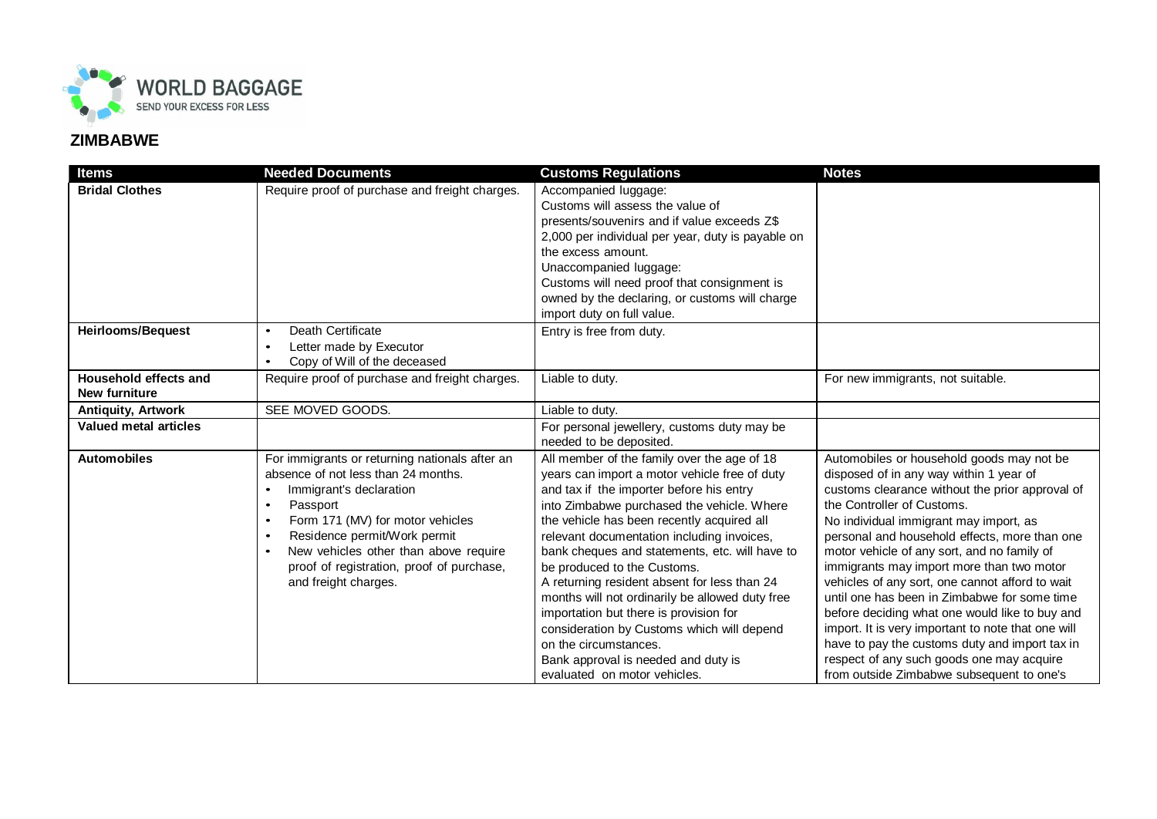

## **ZIMBABWE**

| <b>Items</b>                                  | <b>Needed Documents</b>                                                                                                                                                                                                                                                                                                                                            | <b>Customs Regulations</b>                                                                                                                                                                                                                                                                                                                                                                                                                                                                                                                                                                                                                                     | <b>Notes</b>                                                                                                                                                                                                                                                                                                                                                                                                                                                                                                                                                                                                                                                                                                        |
|-----------------------------------------------|--------------------------------------------------------------------------------------------------------------------------------------------------------------------------------------------------------------------------------------------------------------------------------------------------------------------------------------------------------------------|----------------------------------------------------------------------------------------------------------------------------------------------------------------------------------------------------------------------------------------------------------------------------------------------------------------------------------------------------------------------------------------------------------------------------------------------------------------------------------------------------------------------------------------------------------------------------------------------------------------------------------------------------------------|---------------------------------------------------------------------------------------------------------------------------------------------------------------------------------------------------------------------------------------------------------------------------------------------------------------------------------------------------------------------------------------------------------------------------------------------------------------------------------------------------------------------------------------------------------------------------------------------------------------------------------------------------------------------------------------------------------------------|
| <b>Bridal Clothes</b>                         | Require proof of purchase and freight charges.                                                                                                                                                                                                                                                                                                                     | Accompanied luggage:<br>Customs will assess the value of<br>presents/souvenirs and if value exceeds Z\$<br>2,000 per individual per year, duty is payable on<br>the excess amount.<br>Unaccompanied luggage:<br>Customs will need proof that consignment is<br>owned by the declaring, or customs will charge<br>import duty on full value.                                                                                                                                                                                                                                                                                                                    |                                                                                                                                                                                                                                                                                                                                                                                                                                                                                                                                                                                                                                                                                                                     |
| <b>Heirlooms/Bequest</b>                      | Death Certificate<br>$\bullet$<br>Letter made by Executor<br>$\bullet$<br>Copy of Will of the deceased<br>$\bullet$                                                                                                                                                                                                                                                | Entry is free from duty.                                                                                                                                                                                                                                                                                                                                                                                                                                                                                                                                                                                                                                       |                                                                                                                                                                                                                                                                                                                                                                                                                                                                                                                                                                                                                                                                                                                     |
| Household effects and<br><b>New furniture</b> | Require proof of purchase and freight charges.                                                                                                                                                                                                                                                                                                                     | Liable to duty.                                                                                                                                                                                                                                                                                                                                                                                                                                                                                                                                                                                                                                                | For new immigrants, not suitable.                                                                                                                                                                                                                                                                                                                                                                                                                                                                                                                                                                                                                                                                                   |
| <b>Antiquity, Artwork</b>                     | SEE MOVED GOODS.                                                                                                                                                                                                                                                                                                                                                   | Liable to duty.                                                                                                                                                                                                                                                                                                                                                                                                                                                                                                                                                                                                                                                |                                                                                                                                                                                                                                                                                                                                                                                                                                                                                                                                                                                                                                                                                                                     |
| Valued metal articles                         |                                                                                                                                                                                                                                                                                                                                                                    | For personal jewellery, customs duty may be<br>needed to be deposited.                                                                                                                                                                                                                                                                                                                                                                                                                                                                                                                                                                                         |                                                                                                                                                                                                                                                                                                                                                                                                                                                                                                                                                                                                                                                                                                                     |
| <b>Automobiles</b>                            | For immigrants or returning nationals after an<br>absence of not less than 24 months.<br>Immigrant's declaration<br>Passport<br>$\bullet$<br>Form 171 (MV) for motor vehicles<br>$\bullet$<br>Residence permit/Work permit<br>$\bullet$<br>New vehicles other than above require<br>$\bullet$<br>proof of registration, proof of purchase,<br>and freight charges. | All member of the family over the age of 18<br>years can import a motor vehicle free of duty<br>and tax if the importer before his entry<br>into Zimbabwe purchased the vehicle. Where<br>the vehicle has been recently acquired all<br>relevant documentation including invoices,<br>bank cheques and statements, etc. will have to<br>be produced to the Customs.<br>A returning resident absent for less than 24<br>months will not ordinarily be allowed duty free<br>importation but there is provision for<br>consideration by Customs which will depend<br>on the circumstances.<br>Bank approval is needed and duty is<br>evaluated on motor vehicles. | Automobiles or household goods may not be<br>disposed of in any way within 1 year of<br>customs clearance without the prior approval of<br>the Controller of Customs.<br>No individual immigrant may import, as<br>personal and household effects, more than one<br>motor vehicle of any sort, and no family of<br>immigrants may import more than two motor<br>vehicles of any sort, one cannot afford to wait<br>until one has been in Zimbabwe for some time<br>before deciding what one would like to buy and<br>import. It is very important to note that one will<br>have to pay the customs duty and import tax in<br>respect of any such goods one may acquire<br>from outside Zimbabwe subsequent to one's |